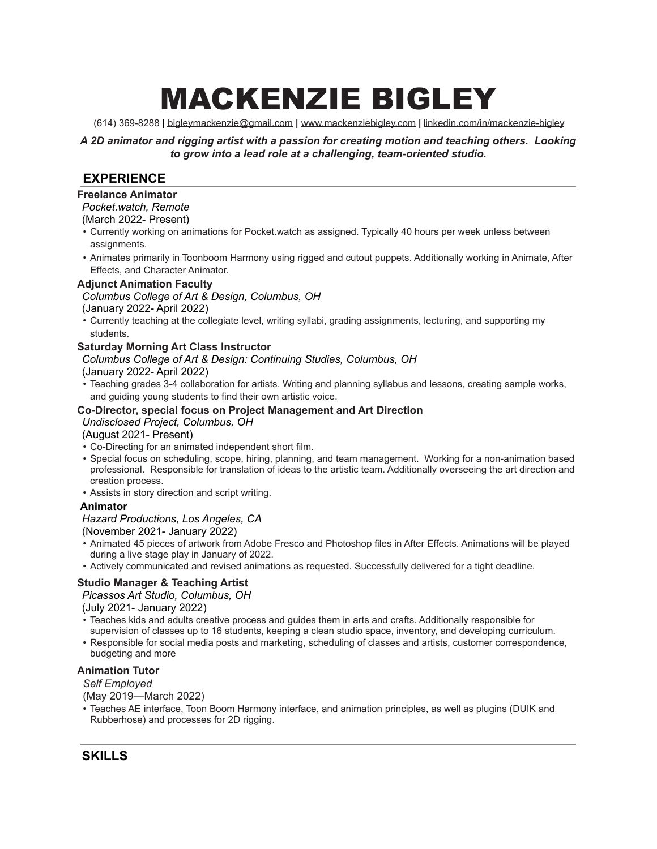# MACKENZIE BIGLEY

(614) 369-8288 **|** [bigleymackenzie@gmail.com](mailto:bigleymackenzie@gmail.com) **|** [www.mackenziebigley.com](http://www.mackenziebigley.com/) **|** [linkedin.com/in/mackenzie-bigley](http://www.linkedin.com/in/mackenzie-bigley)

*A 2D animator and rigging artist with a passion for creating motion and teaching others. Looking to grow into a lead role at a challenging, team-oriented studio.*

# **EXPERIENCE**

#### **Freelance Animator**

#### *Pocket.watch, Remote*

#### (March 2022- Present)

- Currently working on animations for Pocket.watch as assigned. Typically 40 hours per week unless between assignments.
- Animates primarily in Toonboom Harmony using rigged and cutout puppets. Additionally working in Animate, After Effects, and Character Animator.

#### **Adjunct Animation Faculty**

#### *Columbus College of Art & Design, Columbus, OH*

(January 2022- April 2022)

• Currently teaching at the collegiate level, writing syllabi, grading assignments, lecturing, and supporting my students.

#### **Saturday Morning Art Class Instructor**

# *Columbus College of Art & Design: Continuing Studies, Columbus, OH*

(January 2022- April 2022)

• Teaching grades 3-4 collaboration for artists. Writing and planning syllabus and lessons, creating sample works, and guiding young students to find their own artistic voice.

#### **Co-Director, special focus on Project Management and Art Direction**

#### *Undisclosed Project, Columbus, OH*

(August 2021- Present)

- Co-Directing for an animated independent short film.
- Special focus on scheduling, scope, hiring, planning, and team management. Working for a non-animation based professional. Responsible for translation of ideas to the artistic team. Additionally overseeing the art direction and creation process.
- Assists in story direction and script writing.

#### **Animator**

#### *Hazard Productions, Los Angeles, CA*

(November 2021- January 2022)

- Animated 45 pieces of artwork from Adobe Fresco and Photoshop files in After Effects. Animations will be played during a live stage play in January of 2022.
- Actively communicated and revised animations as requested. Successfully delivered for a tight deadline.

#### **Studio Manager & Teaching Artist**

#### *Picassos Art Studio, Columbus, OH*

(July 2021- January 2022)

- Teaches kids and adults creative process and guides them in arts and crafts. Additionally responsible for supervision of classes up to 16 students, keeping a clean studio space, inventory, and developing curriculum.
- Responsible for social media posts and marketing, scheduling of classes and artists, customer correspondence, budgeting and more

#### **Animation Tutor**

*Self Employed*

(May 2019—March 2022)

• Teaches AE interface, Toon Boom Harmony interface, and animation principles, as well as plugins (DUIK and Rubberhose) and processes for 2D rigging.